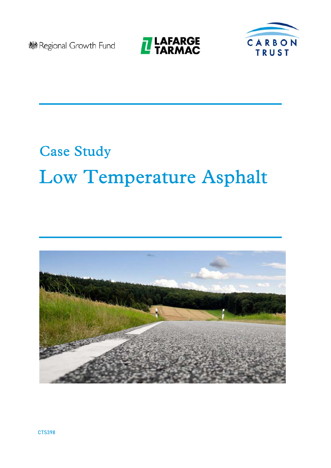**®Regional Growth Fund** 



 $\mathcal{L}_\text{max}$  and  $\mathcal{L}_\text{max}$  and  $\mathcal{L}_\text{max}$  and  $\mathcal{L}_\text{max}$  and  $\mathcal{L}_\text{max}$ 



# Case Study Low Temperature Asphalt



 $\mathcal{L}_\text{max}$  and  $\mathcal{L}_\text{max}$  and  $\mathcal{L}_\text{max}$  and  $\mathcal{L}_\text{max}$  and  $\mathcal{L}_\text{max}$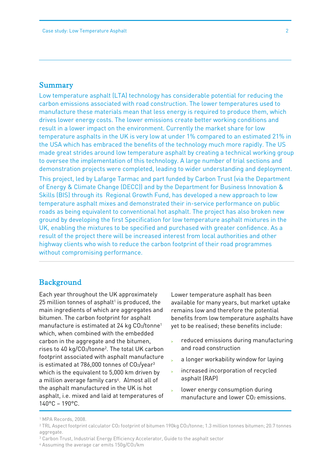#### Summary

 Low temperature asphalt (LTA) technology has considerable potential for reducing the carbon emissions associated with road construction. The lower temperatures used to manufacture these materials mean that less energy is required to produce them, which drives lower energy costs. The lower emissions create better working conditions and result in a lower impact on the environment. Currently the market share for low temperature asphalts in the UK is very low at under 1% compared to an estimated 21% in the USA which has embraced the benefits of the technology much more rapidly. The US made great strides around low temperature asphalt by creating a technical working group to oversee the implementation of this technology. A large number of trial sections and demonstration projects were completed, leading to wider understanding and deployment. This project, led by Lafarge Tarmac and part funded by Carbon Trust (via the Department of Energy & Climate Change (DECC)) and by the Department for Business Innovation & Skills (BIS) through its Regional Growth Fund, has developed a new approach to low temperature asphalt mixes and demonstrated their in-service performance on public roads as being equivalent to conventional hot asphalt. The project has also broken new ground by developing the first Specification for low temperature asphalt mixtures in the UK, enabling the mixtures to be specified and purchased with greater confidence. As a result of the project there will be increased interest from local authorities and other highway clients who wish to reduce the carbon footprint of their road programmes

without compromising performance.

#### Background

Each year throughout the UK approximately  $25$  million tonnes of asphalt<sup>1</sup> is produced, the main ingredients of which are aggregates and bitumen. The carbon footprint for asphalt manufacture is estimated at 24 kg CO2/tonne<sup>1</sup> which, when combined with the embedded carbon in the aggregate and the bitumen, rises to 40 kg/CO2/tonne2. The total UK carbon footprint associated with asphalt manufacture is estimated at  $786,000$  tonnes of  $CO<sub>2</sub>/year<sup>3</sup>$ which is the equivalent to 5,000 km driven by a million average family cars<sup>4</sup>. Almost all of the asphalt manufactured in the UK is hot asphalt, i.e. mixed and laid at temperatures of 140°C – 190°C.

Lower temperature asphalt has been available for many years, but market uptake remains low and therefore the potential benefits from low temperature asphalts have yet to be realised; these benefits include:

- reduced emissions during manufacturing and road construction
- a longer workability window for laying
- increased incorporation of recycled asphalt (RAP)
- lower energy consumption during manufacture and lower CO<sub>2</sub> emissions.

- 3 Carbon Trust, Industrial Energy Efficiency Accelerator, Guide to the asphalt sector
- 4 Assuming the average car emits 150g/CO2/km

<sup>1</sup> MPA Records, 2008.

<sup>2</sup> TRL Aspect footprint calculator CO2 footprint of bitumen 190kg CO2/tonne; 1.3 million tonnes bitumen; 20.7 tonnes aggregate.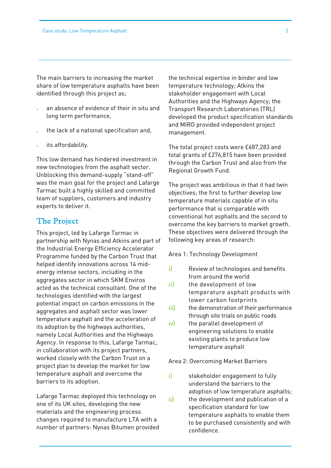share of low temperature asphalts have been Ĩ The main barriers to increasing the market identified through this project as;

- $\mathbf{r}$  an absence of evidence of their in situ and long term performance,
- the lack of a national specification and,
- its affordability.

This low demand has hindered investment in new technologies from the asphalt sector. Unblocking this demand-supply "stand-off" was the main goal for the project and Lafarge Tarmac built a highly skilled and committed team of suppliers, customers and industry experts to deliver it.

#### The Project

This project, led by Lafarge Tarmac in partnership with Nynas and Atkins and part of the Industrial Energy Efficiency Accelerator Programme funded by the Carbon Trust that helped identify innovations across 14 midenergy intense sectors, including in the aggregates sector in which SKM Enviros acted as the technical consultant. One of the technologies identified with the largest potential impact on carbon emissions in the aggregates and asphalt sector was lower temperature asphalt and the acceleration of its adoption by the highways authorities, namely Local Authorities and the Highways Agency. In response to this, Lafarge Tarmac, in collaboration with its project partners, worked closely with the Carbon Trust on a project plan to develop the market for low temperature asphalt and overcome the barriers to its adoption.

Lafarge Tarmac deployed this technology on one of its UK sites, developing the new materials and the engineering process changes required to manufacture LTA with a number of partners: Nynas Bitumen provided the technical expertise in binder and low temperature technology; Atkins the stakeholder engagement with Local Authorities and the Highways Agency; the Transport Research Laboratories (TRL) developed the product specification standards and MIRO provided independent project management.

The total project costs were £687,283 and total grants of £276,815 have been provided through the Carbon Trust and also from the Regional Growth Fund.

The project was ambitious in that it had twin objectives; the first to further develop low temperature materials capable of in situ performance that is comparable with conventional hot asphalts and the second to overcome the key barriers to market growth. These objectives were delivered through the following key areas of research:

Area 1: Technology Development

- i) Review of technologies and benefits from around the world
- ii) the development of low temperature asphalt products with lower carbon footprints
- iii) the demonstration of their performance through site trials on public roads
- iv) the parallel development of engineering solutions to enable existing plants to produce low temperature asphalt

Area 2: Overcoming Market Barriers

- i) stakeholder engagement to fully understand the barriers to the adoption of low temperature asphalts;
- ii) the development and publication of a specification standard for low temperature asphalts to enable them to be purchased consistently and with confidence.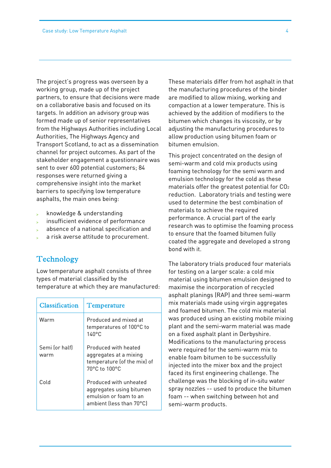The project's progress was overseen by a working group, made up of the project partners, to ensure that decisions were made on a collaborative basis and focused on its targets. In addition an advisory group was formed made up of senior representatives from the Highways Authorities including Local Authorities, The Highways Agency and Transport Scotland, to act as a dissemination channel for project outcomes. As part of the stakeholder engagement a questionnaire was sent to over 600 potential customers; 84 responses were returned giving a comprehensive insight into the market barriers to specifying low temperature asphalts, the main ones being:

- knowledge & understanding
- insufficient evidence of performance
- absence of a national specification and
- a risk averse attitude to procurement.

#### **Technology**

Low temperature asphalt consists of three types of material classified by the temperature at which they are manufactured:

| Classification         | Temperature                                                                                                        |
|------------------------|--------------------------------------------------------------------------------------------------------------------|
| Warm                   | Produced and mixed at<br>temperatures of 100°C to<br>140°C                                                         |
| Semi for halfl<br>warm | Produced with heated<br>aggregates at a mixing<br>temperature (of the mix) of<br>$70^{\circ}$ C to $100^{\circ}$ C |
| Cold                   | Produced with unheated<br>aggregates using bitumen<br>emulsion or foam to an<br>ambient (less than 70°C)           |

These materials differ from hot asphalt in that the manufacturing procedures of the binder are modified to allow mixing, working and compaction at a lower temperature. This is achieved by the addition of modifiers to the bitumen which changes its viscosity, or by adjusting the manufacturing procedures to allow production using bitumen foam or bitumen emulsion.

This project concentrated on the design of semi-warm and cold mix products using foaming technology for the semi warm and emulsion technology for the cold as these materials offer the greatest potential for CO2 reduction. Laboratory trials and testing were used to determine the best combination of materials to achieve the required performance. A crucial part of the early research was to optimise the foaming process to ensure that the foamed bitumen fully coated the aggregate and developed a strong bond with it.

The laboratory trials produced four materials for testing on a larger scale: a cold mix material using bitumen emulsion designed to maximise the incorporation of recycled asphalt planings (RAP) and three semi-warm mix materials made using virgin aggregates and foamed bitumen. The cold mix material was produced using an existing mobile mixing plant and the semi-warm material was made on a fixed asphalt plant in Derbyshire. Modifications to the manufacturing process were required for the semi-warm mix to enable foam bitumen to be successfully injected into the mixer box and the project faced its first engineering challenge. The challenge was the blocking of in-situ water spray nozzles -- used to produce the bitumen foam -- when switching between hot and semi-warm products.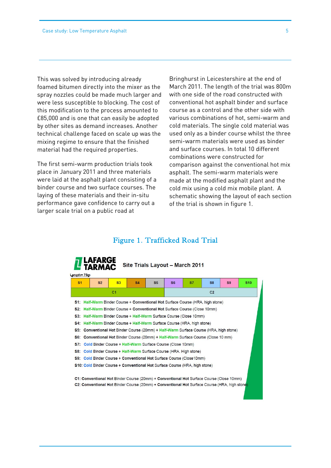This was solved by introducing already foamed bitumen directly into the mixer as the spray nozzles could be made much larger and were less susceptible to blocking. The cost of this modification to the process amounted to £85,000 and is one that can easily be adopted by other sites as demand increases. Another technical challenge faced on scale up was the mixing regime to ensure that the finished material had the required properties.

The first semi-warm production trials took place in January 2011 and three materials were laid at the asphalt plant consisting of a binder course and two surface courses. The laying of these materials and their in-situ performance gave confidence to carry out a larger scale trial on a public road at

Bringhurst in Leicestershire at the end of March 2011. The length of the trial was 800m with one side of the road constructed with conventional hot asphalt binder and surface course as a control and the other side with various combinations of hot, semi-warm and cold materials. The single cold material was used only as a binder course whilst the three semi-warm materials were used as binder and surface courses. In total 10 different combinations were constructed for comparison against the conventional hot mix asphalt. The semi-warm materials were made at the modified asphalt plant and the cold mix using a cold mix mobile plant. A schematic showing the layout of each section of the trial is shown in figure 1.

#### Figure 1. Trafficked Road Trial

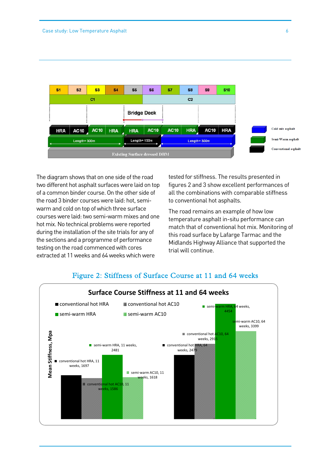

 of a common binder course. On the other side of the road 3 binder courses were laid: hot, semiwarm and cold on top or which three surface<br>courses were laid: two semi-warm mixes and one hot mix. No technical problems were reported during the installation of the site trials for any of testing on the road commenced with cores The diagram shows that on one side of the road two different hot asphalt surfaces were laid on top warm and cold on top of which three surface the sections and a programme of performance extracted at 11 weeks and 64 weeks which were

tested for stiffness. The results presented in figures 2 and 3 show excellent performances of all the combinations with comparable stiffness to conventional hot asphalts.

The road remains an example of how low temperature asphalt in-situ performance can match that of conventional hot mix. Monitoring of this road surface by Lafarge Tarmac and the Midlands Highway Alliance that supported the trial will continue.



#### Figure 2: Stiffness of Surface Course at 11 and 64 weeks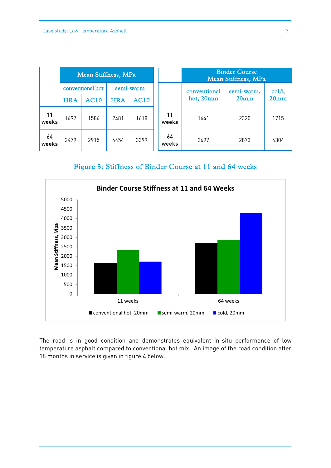|             | Mean Stiffness, MPa |                  |            |             | <b>Binder Course</b><br>Mean Stiffness, MPa |              |                                |                           |
|-------------|---------------------|------------------|------------|-------------|---------------------------------------------|--------------|--------------------------------|---------------------------|
|             |                     | conventional hot |            | semi-warm   |                                             | conventional | semi-warm,<br>20 <sub>mm</sub> | cold,<br>20 <sub>mm</sub> |
|             | <b>HRA</b>          | <b>AC10</b>      | <b>HRA</b> | <b>AC10</b> |                                             | hot, 20mm    |                                |                           |
| 11<br>weeks | 1697                | 1586             | 2481       | 1618        | 11<br>weeks                                 | 1641         | 2320                           | 1715                      |
| 64<br>weeks | 2479                | 2915             | 4454       | 3399        | 64<br>weeks                                 | 2697         | 2873                           | 4304                      |

Figure 3: Stiffness of Binder Course at 11 and 64 weeks



The road is in good condition and demonstrates equivalent in-situ performance of low temperature asphalt compared to conventional hot mix. An image of the road condition after 18 months in service is given in figure 4 below.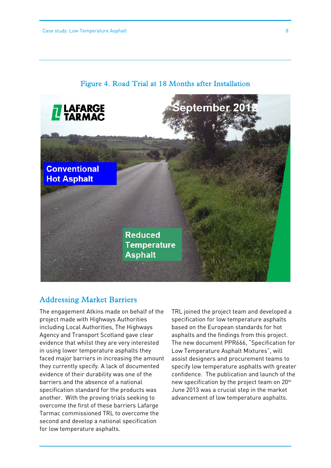

#### Figure 4. Road Trial at 18 Months after Installation

#### Addressing Market Barriers

The engagement Atkins made on behalf of the project made with Highways Authorities including Local Authorities, The Highways Agency and Transport Scotland gave clear evidence that whilst they are very interested in using lower temperature asphalts they faced major barriers in increasing the amount they currently specify. A lack of documented evidence of their durability was one of the barriers and the absence of a national specification standard for the products was another. With the proving trials seeking to overcome the first of these barriers Lafarge Tarmac commissioned TRL to overcome the second and develop a national specification for low temperature asphalts.

TRL joined the project team and developed a specification for low temperature asphalts based on the European standards for hot asphalts and the findings from this project. The new document PPR666, "Specification for Low Temperature Asphalt Mixtures", will assist designers and procurement teams to specify low temperature asphalts with greater confidence. The publication and launch of the new specification by the project team on 20th June 2013 was a crucial step in the market advancement of low temperature asphalts.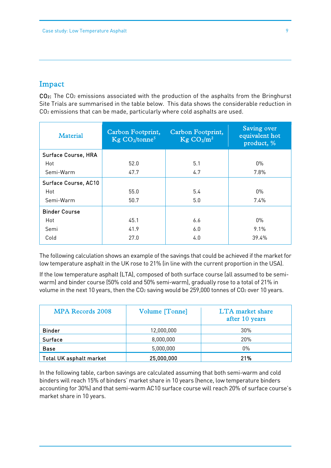## Impact

CO<sub>2</sub>: The CO<sub>2</sub> emissions associated with the production of the asphalts from the Bringhurst Site Trials are summarised in the table below. This data shows the considerable reduction in CO2 emissions that can be made, particularly where cold asphalts are used.

| <b>Material</b>            | Carbon Footprint,<br>$\text{Kg}$ CO <sub>2</sub> /tonne <sup>5</sup> | Carbon Footprint,<br>$\text{Kg } \text{CO}_2/\text{m}^2$ | Saving over<br>equivalent hot<br>product, % |
|----------------------------|----------------------------------------------------------------------|----------------------------------------------------------|---------------------------------------------|
| <b>Surface Course, HRA</b> |                                                                      |                                                          |                                             |
| Hot                        | 52.0                                                                 | 5.1                                                      | $0\%$                                       |
| Semi-Warm                  | 47.7                                                                 | 4.7                                                      | 7.8%                                        |
| Surface Course, AC10       |                                                                      |                                                          |                                             |
| Hot                        | 55.0                                                                 | 5.4                                                      | $0\%$                                       |
| Semi-Warm                  | 50.7                                                                 | 5.0                                                      | $7.4\%$                                     |
| <b>Binder Course</b>       |                                                                      |                                                          |                                             |
| Hot                        | 45.1                                                                 | 6.6                                                      | $0\%$                                       |
| Semi                       | 41.9                                                                 | 6.0                                                      | 9.1%                                        |
| Cold                       | 27.0                                                                 | 4.0                                                      | 39.4%                                       |

The following calculation shows an example of the savings that could be achieved if the market for low temperature asphalt in the UK rose to 21% (in line with the current proportion in the USA).

If the low temperature asphalt (LTA), composed of both surface course (all assumed to be semiwarm) and binder course (50% cold and 50% semi-warm), gradually rose to a total of 21% in volume in the next 10 years, then the CO<sub>2</sub> saving would be 259,000 tonnes of CO<sub>2</sub> over 10 years.

| <b>MPA Records 2008</b>        | Volume [Tonne] | <b>LTA</b> market share<br>after 10 years |
|--------------------------------|----------------|-------------------------------------------|
| <b>Binder</b>                  | 12,000,000     | $30\%$                                    |
| Surface                        | 8,000,000      | 20%                                       |
| <b>Base</b>                    | 5,000,000      | $0\%$                                     |
| <b>Total UK asphalt market</b> | 25,000,000     | 21%                                       |

In the following table, carbon savings are calculated assuming that both semi-warm and cold binders will reach 15% of binders' market share in 10 years (hence, low temperature binders accounting for 30%) and that semi-warm AC10 surface course will reach 20% of surface course's market share in 10 years.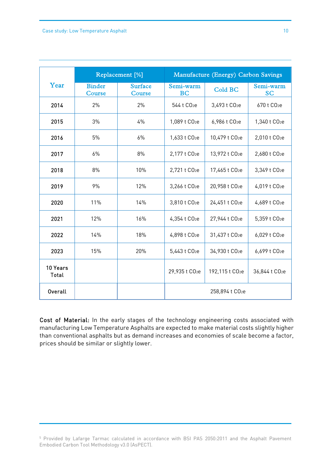|                          |                         | Replacement [%]          | Manufacture (Energy) Carbon Savings |                             |                            |  |
|--------------------------|-------------------------|--------------------------|-------------------------------------|-----------------------------|----------------------------|--|
| Year                     | <b>Binder</b><br>Course | <b>Surface</b><br>Course | Semi-warm<br><b>BC</b>              | <b>Cold BC</b>              | Semi-warm<br><b>SC</b>     |  |
| 2014                     | 2%                      | 2%                       | 544 t CO <sub>2</sub> e             | 3,493 t CO <sub>2</sub> e   | 670 t CO <sub>2</sub> e    |  |
| 2015                     | 3%                      | 4%                       | 1,089 t CO <sub>2</sub> e           | 6,986 t CO <sub>2</sub> e   | 1,340 t CO <sub>2</sub> e  |  |
| 2016                     | 5%                      | 6%                       | 1,633 t CO <sub>2</sub> e           | 10,479 t CO <sub>2</sub> e  | 2,010 t CO <sub>2</sub> e  |  |
| 2017                     | 6%                      | 8%                       | 2,177 t CO <sub>2</sub> e           | 13,972 t CO <sub>2</sub> e  | 2,680 t CO <sub>2</sub> e  |  |
| 2018                     | 8%                      | 10%                      | 2,721 t CO <sub>2</sub> e           | 17,465 t CO <sub>2</sub> e  | 3,349 t CO <sub>2</sub> e  |  |
| 2019                     | 9%                      | 12%                      | 3,266 t CO <sub>2</sub> e           | 20,958 t CO <sub>2</sub> e  | 4,019 t CO <sub>2</sub> e  |  |
| 2020                     | 11%                     | 14%                      | 3,810 t CO <sub>2</sub> e           | 24,451 t CO <sub>2</sub> e  | 4,689 t CO <sub>2</sub> e  |  |
| 2021                     | 12%                     | 16%                      | 4,354 t CO <sub>2</sub> e           | 27,944 t CO <sub>2</sub> e  | 5,359 t CO <sub>2</sub> e  |  |
| 2022                     | 14%                     | 18%                      | 4,898 t CO <sub>2</sub> e           | 31,437 t CO <sub>2</sub> e  | 6,029 t CO <sub>2</sub> e  |  |
| 2023                     | 15%                     | 20%                      | 5,443 t CO <sub>2</sub> e           | 34,930 t CO <sub>2</sub> e  | 6,699 t CO <sub>2</sub> e  |  |
| 10 Years<br><b>Total</b> |                         |                          | 29,935 t CO <sub>2</sub> e          | 192,115 t CO <sub>2</sub> e | 36,844 t CO <sub>2</sub> e |  |
| <b>Overall</b>           |                         |                          | 258,894 t CO <sub>2</sub> e         |                             |                            |  |

 Cost of Material: In the early stages of the technology engineering costs associated with than conventional asphalts but as demand increases and economies of scale become a factor, manufacturing Low Temperature Asphalts are expected to make material costs slightly higher prices should be similar or slightly lower.

<sup>5</sup> Provided by Lafarge Tarmac calculated in accordance with BSI PAS 2050:2011 and the Asphalt Pavement Embodied Carbon Tool Methodology v3.0 (AsPECT).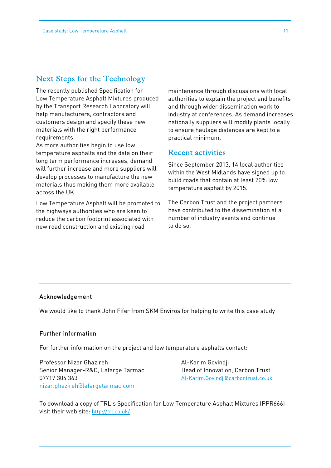#### Next Steps for the Technology

The recently published Specification for Low Temperature Asphalt Mixtures produced by the Transport Research Laboratory will help manufacturers, contractors and customers design and specify these new materials with the right performance requirements.

As more authorities begin to use low temperature asphalts and the data on their long term performance increases, demand will further increase and more suppliers will develop processes to manufacture the new materials thus making them more available across the UK.

Low Temperature Asphalt will be promoted to the highways authorities who are keen to reduce the carbon footprint associated with new road construction and existing road

maintenance through discussions with local authorities to explain the project and benefits and through wider dissemination work to industry at conferences. As demand increases nationally suppliers will modify plants locally to ensure haulage distances are kept to a practical minimum.

#### Recent activities

Since September 2013, 14 local authorities within the West Midlands have signed up to build roads that contain at least 20% low temperature asphalt by 2015.

The Carbon Trust and the project partners have contributed to the dissemination at a number of industry events and continue to do so.

#### Acknowledgement

We would like to thank John Fifer from SKM Enviros for helping to write this case study

#### Further information

For further information on the project and low temperature asphalts contact:

Professor Nizar Ghazireh Al-Karim Govindji Senior Manager-R&D, Lafarge Tarmac Head of Innovation, Carbon Trust 07717 304 363 Al-Karim.Govindji@carbontrust.co.uk nizar.ghazireh@lafargetarmac.com

To download a copy of TRL's Specification for Low Temperature Asphalt Mixtures (PPR666) visit their web site: http://trl.co.uk/